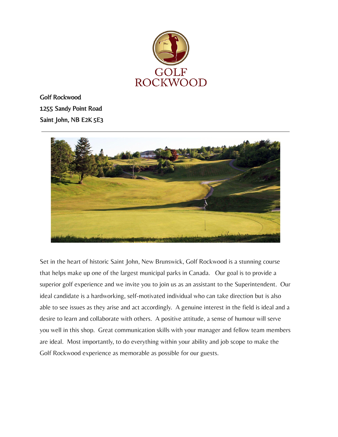

Golf Rockwood 1255 Sandy Point Road Saint John, NB E2K 5E3



Set in the heart of historic Saint John, New Brunswick, Golf Rockwood is a stunning course that helps make up one of the largest municipal parks in Canada. Our goal is to provide a superior golf experience and we invite you to join us as an assistant to the Superintendent. Our ideal candidate is a hardworking, self-motivated individual who can take direction but is also able to see issues as they arise and act accordingly. A genuine interest in the field is ideal and a desire to learn and collaborate with others. A positive attitude, a sense of humour will serve you well in this shop. Great communication skills with your manager and fellow team members are ideal. Most importantly, to do everything within your ability and job scope to make the Golf Rockwood experience as memorable as possible for our guests.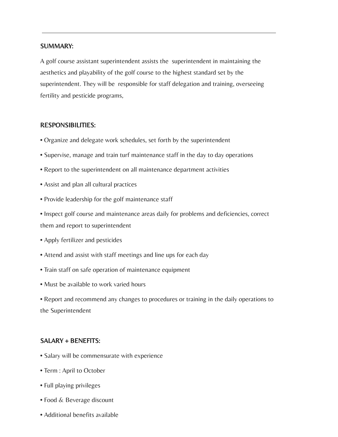## SUMMARY:

A golf course assistant superintendent assists the superintendent in maintaining the aesthetics and playability of the golf course to the highest standard set by the superintendent. They will be responsible for staff delegation and training, overseeing fertility and pesticide programs,

## RESPONSIBILITIES:

- Organize and delegate work schedules, set forth by the superintendent
- Supervise, manage and train turf maintenance staff in the day to day operations
- Report to the superintendent on all maintenance department activities
- Assist and plan all cultural practices
- Provide leadership for the golf maintenance staff
- Inspect golf course and maintenance areas daily for problems and deficiencies, correct them and report to superintendent
- Apply fertilizer and pesticides
- Attend and assist with staff meetings and line ups for each day
- Train staff on safe operation of maintenance equipment
- Must be available to work varied hours
- Report and recommend any changes to procedures or training in the daily operations to the Superintendent

## SALARY + BENEFITS:

- Salary will be commensurate with experience
- Term : April to October
- Full playing privileges
- Food & Beverage discount
- Additional benefits available